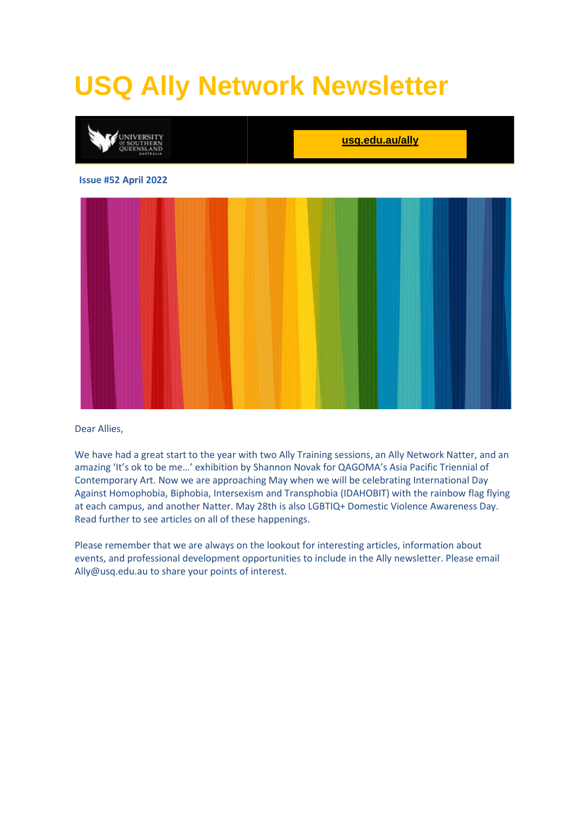# **USQ Ally Network Newsletter**



Dear Allies,

We have had a great start to the year with two Ally Training sessions, an Ally Network Natter, and an amazing 'It's ok to be me…' exhibition by Shannon Novak for QAGOMA's Asia Pacific Triennial of Contemporary Art. Now we are approaching May when we will be celebrating International Day Against Homophobia, Biphobia, Intersexism and Transphobia (IDAHOBIT) with the rainbow flag flying at each campus, and another Natter. May 28th is also LGBTIQ+ Domestic Violence Awareness Day. Read further to see articles on all of these happenings.

Please remember that we are always on the lookout for interesting articles, information about events, and professional development opportunities to include in the Ally newsletter. Please email [Ally@usq.edu.au](mailto:Ally@usq.edu.au) to share your points of interest.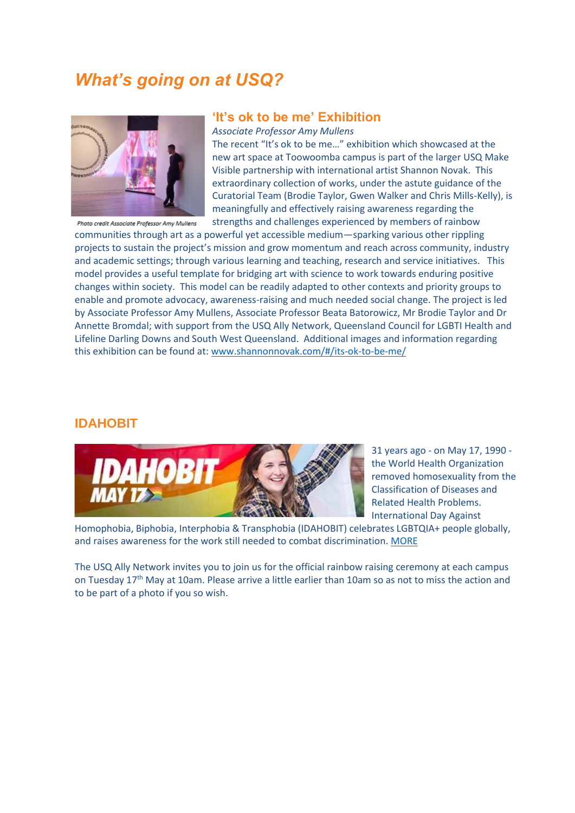### *What's going on at USQ?*



#### **'It's ok to be me' Exhibition**

*Associate Professor Amy Mullens*

The recent "It's ok to be me…" exhibition which showcased at the new art space at Toowoomba campus is part of the larger USQ Make Visible partnership with international artist Shannon Novak. This extraordinary collection of works, under the astute guidance of the Curatorial Team (Brodie Taylor, Gwen Walker and Chris Mills-Kelly), is meaningfully and effectively raising awareness regarding the strengths and challenges experienced by members of rainbow

communities through art as a powerful yet accessible medium—sparking various other rippling projects to sustain the project's mission and grow momentum and reach across community, industry and academic settings; through various learning and teaching, research and service initiatives. This model provides a useful template for bridging art with science to work towards enduring positive changes within society. This model can be readily adapted to other contexts and priority groups to enable and promote advocacy, awareness-raising and much needed social change. The project is led by Associate Professor Amy Mullens, Associate Professor Beata Batorowicz, Mr Brodie Taylor and Dr Annette Bromdal; with support from the USQ Ally Network, Queensland Council for LGBTI Health and Lifeline Darling Downs and South West Queensland. Additional images and information regarding this exhibition can be found at[: www.shannonnovak.com/#/its-ok-to-be-me/](http://www.shannonnovak.com/#/its-ok-to-be-me/)

#### **IDAHOBIT**



31 years ago - on May 17, 1990 the World Health Organization removed homosexuality from the Classification of Diseases and Related Health Problems. International Day Against

Homophobia, Biphobia, Interphobia & Transphobia (IDAHOBIT) celebrates LGBTQIA+ people globally, and raises awareness for the work still needed to combat discrimination. [MORE](https://www.idahobit.org.au/)

The USQ Ally Network invites you to join us for the official rainbow raising ceremony at each campus on Tuesday 17<sup>th</sup> May at 10am. Please arrive a little earlier than 10am so as not to miss the action and to be part of a photo if you so wish.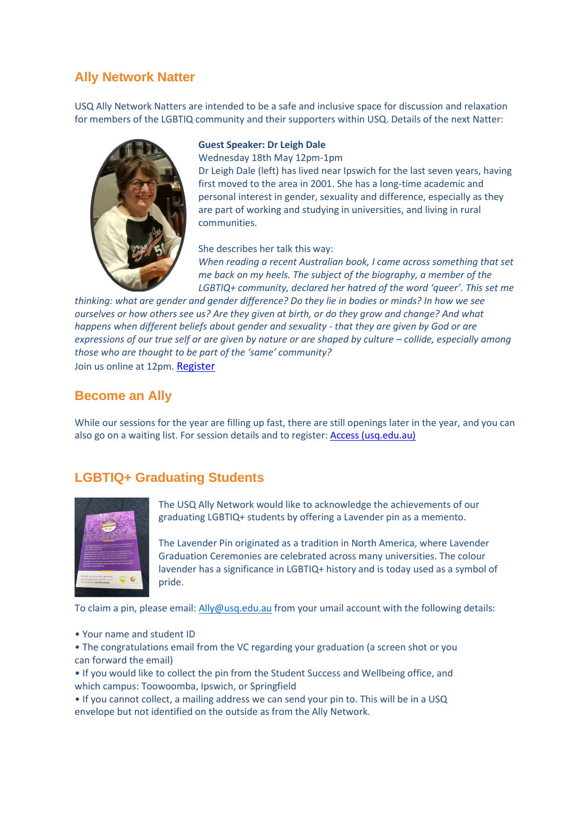### **Ally Network Natter**

USQ Ally Network Natters are intended to be a safe and inclusive space for discussion and relaxation for members of the LGBTIQ community and their supporters within USQ. Details of the next Natter:



#### **Guest Speaker: Dr Leigh Dale**

Wednesday 18th May 12pm-1pm

Dr Leigh Dale (left) has lived near Ipswich for the last seven years, having first moved to the area in 2001. She has a long-time academic and personal interest in gender, sexuality and difference, especially as they are part of working and studying in universities, and living in rural communities.

She describes her talk this way: *When reading a recent Australian book, I came across something that set me back on my heels. The subject of the biography, a member of the LGBTIQ+ community, declared her hatred of the word 'queer'. This set me* 

*thinking: what are gender and gender difference? Do they lie in bodies or minds? In how we see ourselves or how others see us? Are they given at birth, or do they grow and change? And what happens when different beliefs about gender and sexuality - that they are given by God or are expressions of our true self or are given by nature or are shaped by culture – collide, especially among those who are thought to be part of the 'same' community?* Join us online at 12pm. [Register](https://accesshub.usq.edu.au/students/events/Detail/1325286)

#### **Become an Ally**

While our sessions for the year are filling up fast, there are still openings later in the year, and you can also go on a waiting list. For session details and to register: [Access \(usq.edu.au\)](https://accesshub.usq.edu.au/students/events/Type/35/ally-training)

#### **LGBTIQ+ Graduating Students**



The USQ Ally Network would like to acknowledge the achievements of our graduating LGBTIQ+ students by offering a Lavender pin as a memento.

The Lavender Pin originated as a tradition in North America, where Lavender Graduation Ceremonies are celebrated across many universities. The colour lavender has a significance in LGBTIQ+ history and is today used as a symbol of pride.

To claim a pin, please email[: Ally@usq.edu.au](mailto:Ally@usq.edu.au) from your umail account with the following details:

• Your name and student ID

• The congratulations email from the VC regarding your graduation (a screen shot or you can forward the email)

• If you would like to collect the pin from the Student Success and Wellbeing office, and which campus: Toowoomba, Ipswich, or Springfield

• If you cannot collect, a mailing address we can send your pin to. This will be in a USQ envelope but not identified on the outside as from the Ally Network.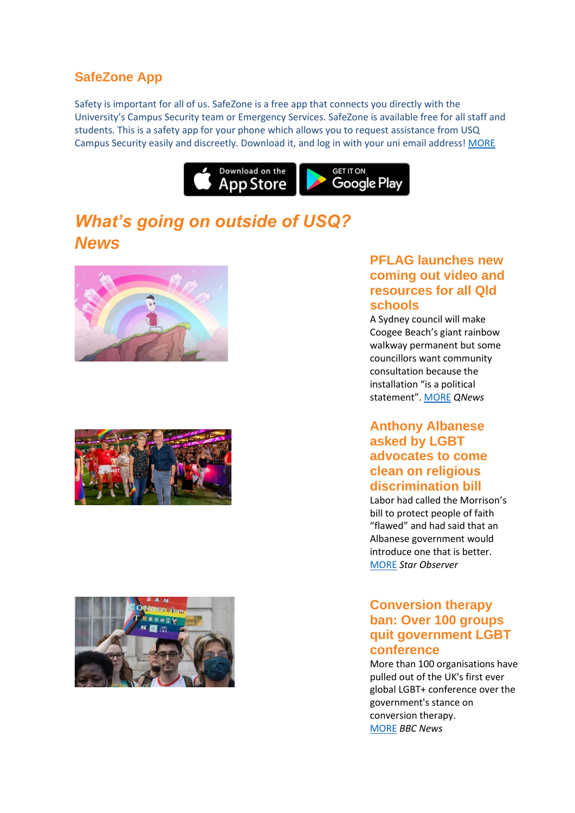### **SafeZone App**

Safety is important for all of us. SafeZone is a free app that connects you directly with the University's Campus Security team or Emergency Services. SafeZone is available free for all staff and students. This is a safety app for your phone which allows you to request assistance from USQ Campus Security easily and discreetly. Download it, and log in with your uni email address! [MORE](https://www.usq.edu.au/facilities-management/security-and-emergency/safezone)



### *What's going on outside of USQ? News*







### **PFLAG launches new coming out video and resources for all Qld schools**

A Sydney council will make Coogee Beach's giant rainbow walkway permanent but some councillors want community consultation because the installation "is a political statement". [MORE](https://qnews.com.au/sydneys-big-beach-rainbow-is-officially-being-made-permanent/) *QNews*

### **Anthony Albanese asked by LGBT advocates to come clean on religious discrimination bill**

Labor had called the Morrison's bill to protect people of faith "flawed" and had said that an Albanese government would introduce one that is better. [MORE](https://www.starobserver.com.au/news/anthony-albanese-asked-by-lgbt-advocates-to-come-clean-on-religious-discrimination-bill/212100) *Star Observer*

### **Conversion therapy ban: Over 100 groups quit government LGBT conference**

More than 100 organisations have pulled out of the UK's first ever global LGBT+ conference over the government's stance on conversion therapy. [MORE](https://www.bbc.com/news/uk-60988210) *BBC News*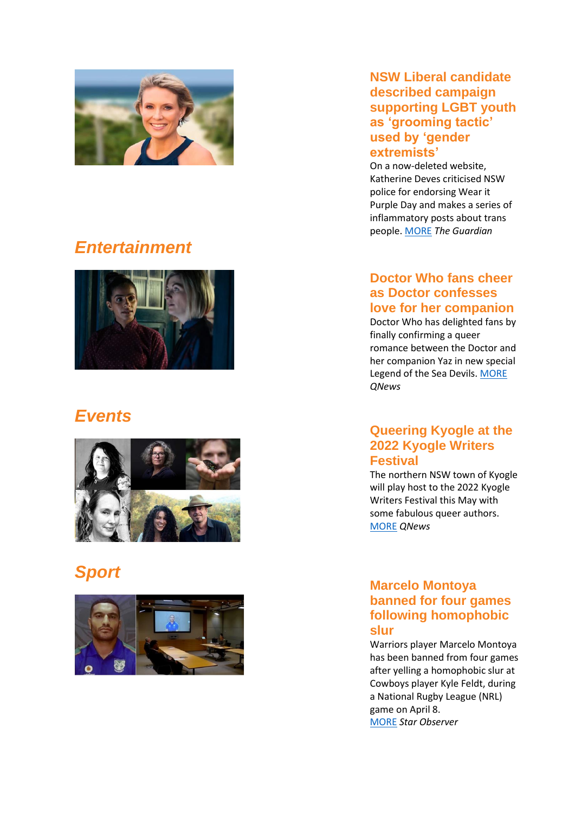

### *Entertainment*



### *Events*



### *Sport*



### **NSW Liberal candidate described campaign supporting LGBT youth as 'grooming tactic' used by 'gender extremists'**

On a now -deleted website, Katherine Deves criticised NSW police for endorsing Wear it Purple Day and makes a series of inflammatory posts about trans people . [MORE](https://www.theguardian.com/australia-news/2022/apr/14/nsw-liberal-candidate-described-campaign-supporting-lgbt-youth-as-grooming-tactic-used-by-gender-extremists) *The Guardian*

### **Doctor Who fans cheer as Doctor confesses love for her companion**

Doctor Who has delighted fans by finally confirming a queer romance between the Doctor and her companion Yaz in new special Legend of the Sea Devils. [MORE](https://qnews.com.au/doctor-who-fans-cheer-as-doctor-confesses-love-for-her-companion/) *QNews*

### **Queering Kyogle at the 2022 Kyogle Writers Festival**

The northern NSW town of Kyogle will play host to the 2022 Kyogle Writers Festival this May with some fabulous queer authors. [MORE](https://qnews.com.au/queering-kyogle-at-the-2022-kyogle-writers-festival/) *QNews*

### **Marcelo Montoya banned for four games following homophobic slur**

Warriors player Marcelo Montoya has been banned from four games after yelling a homophobic slur at Cowboys player Kyle Feldt, during a National Rugby League (NRL) game on April 8. [MORE](https://www.starobserver.com.au/news/marcelo-montoya-banned-for-four-games-following-homophobic-slur/212014) *Star Observer*